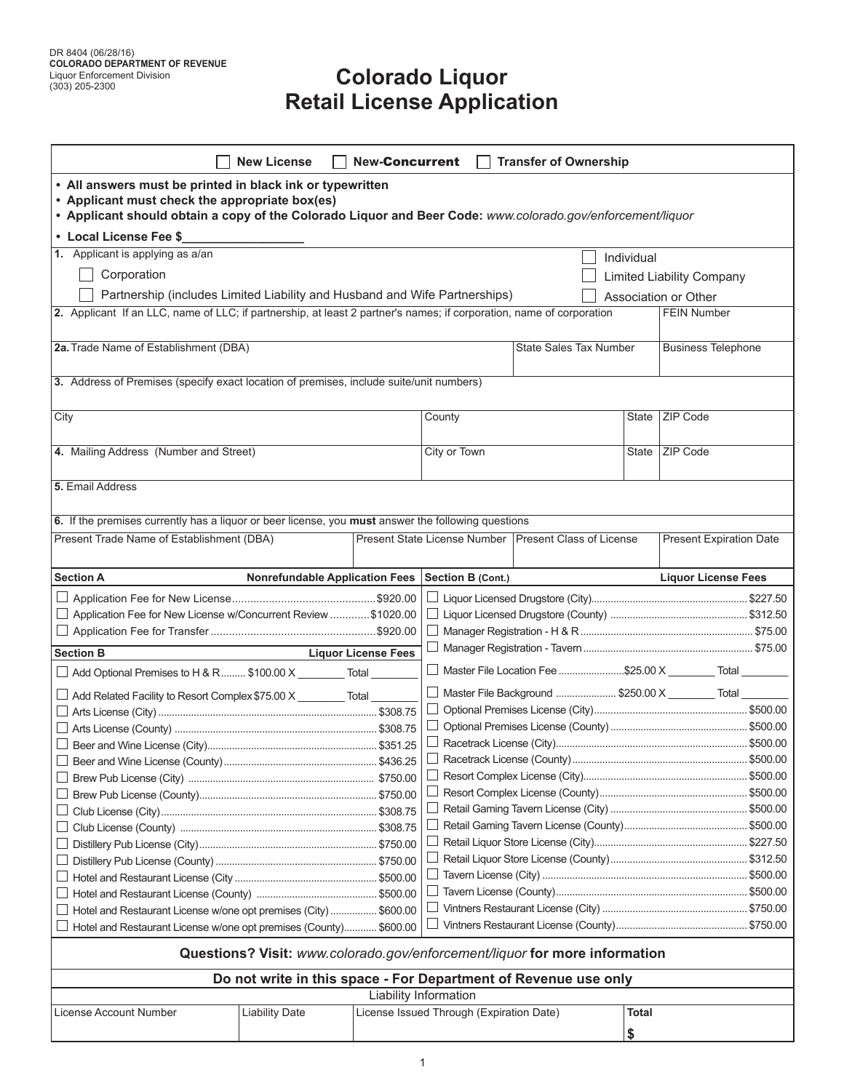## **Colorado Liquor Retail License Application**

|                                                                                                                                                                                                                           | <b>New License</b>                    | <b>New-Concurrent</b>      |                                          | <b>Transfer of Ownership</b>                                               |             |                                                              |  |  |
|---------------------------------------------------------------------------------------------------------------------------------------------------------------------------------------------------------------------------|---------------------------------------|----------------------------|------------------------------------------|----------------------------------------------------------------------------|-------------|--------------------------------------------------------------|--|--|
| • All answers must be printed in black ink or typewritten<br>• Applicant must check the appropriate box(es)<br>• Applicant should obtain a copy of the Colorado Liquor and Beer Code: www.colorado.gov/enforcement/liquor |                                       |                            |                                          |                                                                            |             |                                                              |  |  |
| • Local License Fee \$                                                                                                                                                                                                    |                                       |                            |                                          |                                                                            |             |                                                              |  |  |
| 1. Applicant is applying as a/an                                                                                                                                                                                          |                                       |                            |                                          |                                                                            | Individual  |                                                              |  |  |
| Corporation                                                                                                                                                                                                               |                                       |                            |                                          |                                                                            |             | <b>Limited Liability Company</b>                             |  |  |
| Partnership (includes Limited Liability and Husband and Wife Partnerships)                                                                                                                                                |                                       |                            |                                          |                                                                            |             | Association or Other                                         |  |  |
| 2. Applicant If an LLC, name of LLC; if partnership, at least 2 partner's names; if corporation, name of corporation                                                                                                      |                                       |                            |                                          |                                                                            |             | <b>FEIN Number</b>                                           |  |  |
| 2a. Trade Name of Establishment (DBA)                                                                                                                                                                                     |                                       |                            | <b>State Sales Tax Number</b>            |                                                                            |             | <b>Business Telephone</b>                                    |  |  |
| 3. Address of Premises (specify exact location of premises, include suite/unit numbers)                                                                                                                                   |                                       |                            |                                          |                                                                            |             |                                                              |  |  |
| City                                                                                                                                                                                                                      |                                       |                            | County                                   |                                                                            | State       | ZIP Code                                                     |  |  |
| 4. Mailing Address (Number and Street)                                                                                                                                                                                    |                                       |                            | City or Town                             |                                                                            |             | State   ZIP Code                                             |  |  |
| 5. Email Address                                                                                                                                                                                                          |                                       |                            |                                          |                                                                            |             |                                                              |  |  |
| 6. If the premises currently has a liquor or beer license, you must answer the following questions                                                                                                                        |                                       |                            |                                          |                                                                            |             |                                                              |  |  |
| Present Trade Name of Establishment (DBA)                                                                                                                                                                                 |                                       |                            |                                          | Present State License Number   Present Class of License                    |             | <b>Present Expiration Date</b>                               |  |  |
| <b>Section A</b>                                                                                                                                                                                                          | <b>Nonrefundable Application Fees</b> |                            | <b>Section B (Cont.)</b>                 |                                                                            |             | <b>Liquor License Fees</b>                                   |  |  |
|                                                                                                                                                                                                                           |                                       |                            |                                          |                                                                            |             |                                                              |  |  |
| □ Application Fee for New License w/Concurrent Review \$1020.00                                                                                                                                                           |                                       |                            |                                          |                                                                            |             |                                                              |  |  |
|                                                                                                                                                                                                                           |                                       |                            |                                          |                                                                            |             |                                                              |  |  |
| <b>Section B</b>                                                                                                                                                                                                          |                                       | <b>Liquor License Fees</b> |                                          |                                                                            |             |                                                              |  |  |
|                                                                                                                                                                                                                           |                                       |                            |                                          |                                                                            |             | □ Master File Location Fee \$25.00 X _________ Total _______ |  |  |
| $\Box$ Add Optional Premises to H & R  \$100.00 X _________ Total _____                                                                                                                                                   |                                       |                            |                                          |                                                                            |             |                                                              |  |  |
| $\Box$ Add Related Facility to Resort Complex \$75.00 X Total                                                                                                                                                             |                                       |                            |                                          |                                                                            |             | □ Master File Background  \$250.00 X Total                   |  |  |
|                                                                                                                                                                                                                           |                                       |                            |                                          |                                                                            |             |                                                              |  |  |
|                                                                                                                                                                                                                           |                                       |                            |                                          |                                                                            |             |                                                              |  |  |
|                                                                                                                                                                                                                           |                                       |                            | $\Box$                                   |                                                                            |             |                                                              |  |  |
|                                                                                                                                                                                                                           |                                       |                            |                                          |                                                                            |             |                                                              |  |  |
|                                                                                                                                                                                                                           |                                       |                            |                                          |                                                                            |             |                                                              |  |  |
|                                                                                                                                                                                                                           |                                       |                            |                                          |                                                                            |             |                                                              |  |  |
|                                                                                                                                                                                                                           |                                       |                            |                                          |                                                                            |             |                                                              |  |  |
|                                                                                                                                                                                                                           |                                       |                            |                                          |                                                                            |             |                                                              |  |  |
|                                                                                                                                                                                                                           |                                       |                            |                                          |                                                                            |             |                                                              |  |  |
|                                                                                                                                                                                                                           |                                       |                            |                                          |                                                                            |             |                                                              |  |  |
|                                                                                                                                                                                                                           |                                       |                            |                                          |                                                                            |             |                                                              |  |  |
| $\Box$ Hotel and Restaurant License w/one opt premises (City)  \$600.00                                                                                                                                                   |                                       |                            |                                          |                                                                            |             |                                                              |  |  |
| $\Box$ Hotel and Restaurant License w/one opt premises (County)                                                                                                                                                           |                                       | \$600.00                   |                                          |                                                                            |             |                                                              |  |  |
|                                                                                                                                                                                                                           |                                       |                            |                                          | Questions? Visit: www.colorado.gov/enforcement/liquor for more information |             |                                                              |  |  |
|                                                                                                                                                                                                                           |                                       |                            |                                          | Do not write in this space - For Department of Revenue use only            |             |                                                              |  |  |
|                                                                                                                                                                                                                           |                                       |                            | Liability Information                    |                                                                            |             |                                                              |  |  |
| License Account Number                                                                                                                                                                                                    | <b>Liability Date</b>                 |                            | License Issued Through (Expiration Date) |                                                                            | Total<br>\$ |                                                              |  |  |
|                                                                                                                                                                                                                           |                                       |                            |                                          |                                                                            |             |                                                              |  |  |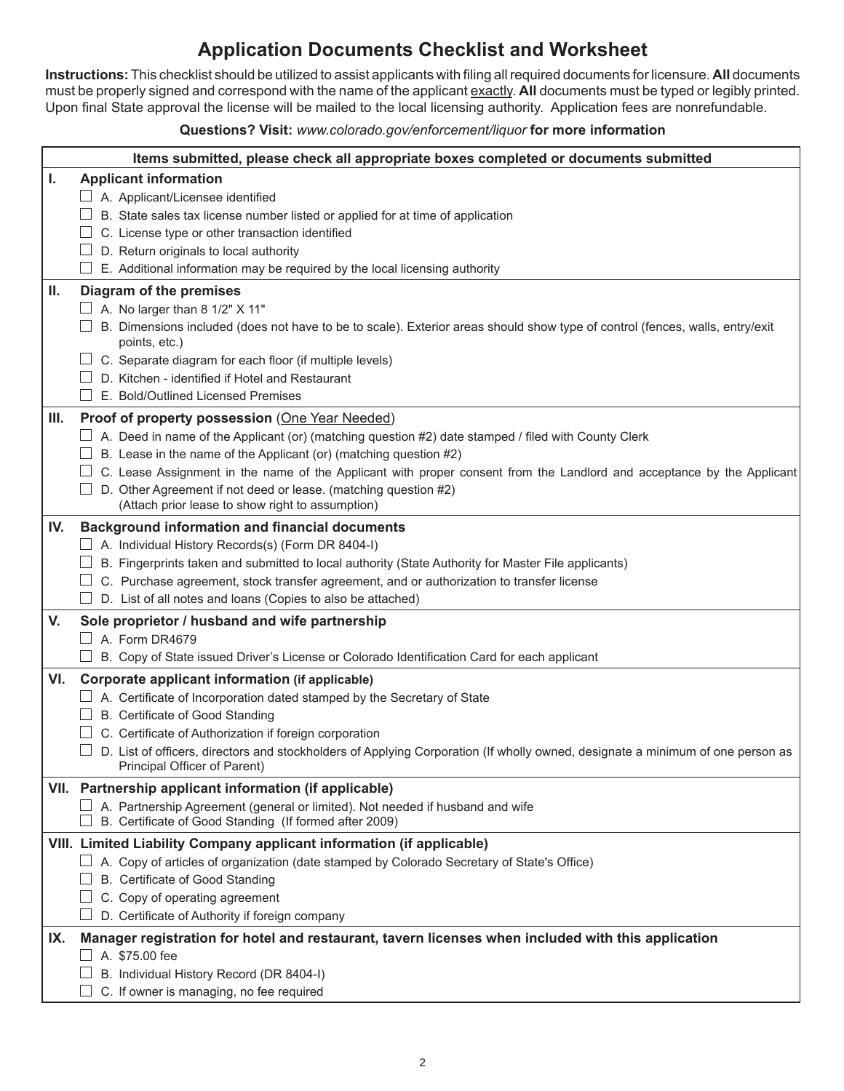## **Application Documents Checklist and Worksheet**

**Instructions:** This checklist should be utilized to assist applicants with filing all required documents for licensure. **All** documents must be properly signed and correspond with the name of the applicant exactly. **All** documents must be typed or legibly printed. Upon final State approval the license will be mailed to the local licensing authority. Application fees are nonrefundable.

## **Questions? Visit:** *www.colorado.gov/enforcement/liquor* **for more information**

|     | Items submitted, please check all appropriate boxes completed or documents submitted                                                                     |
|-----|----------------------------------------------------------------------------------------------------------------------------------------------------------|
| I.  | <b>Applicant information</b>                                                                                                                             |
|     | A. Applicant/Licensee identified                                                                                                                         |
|     | B. State sales tax license number listed or applied for at time of application                                                                           |
|     | C. License type or other transaction identified                                                                                                          |
|     | D. Return originals to local authority                                                                                                                   |
|     | E. Additional information may be required by the local licensing authority                                                                               |
| Ш.  | Diagram of the premises                                                                                                                                  |
|     | $\Box$ A. No larger than 8 1/2" X 11"                                                                                                                    |
|     | B. Dimensions included (does not have to be to scale). Exterior areas should show type of control (fences, walls, entry/exit<br>points, etc.)            |
|     | C. Separate diagram for each floor (if multiple levels)                                                                                                  |
|     | D. Kitchen - identified if Hotel and Restaurant                                                                                                          |
|     | E. Bold/Outlined Licensed Premises                                                                                                                       |
| Ш.  | Proof of property possession (One Year Needed)                                                                                                           |
|     | $\Box$ A. Deed in name of the Applicant (or) (matching question #2) date stamped / filed with County Clerk                                               |
|     | B. Lease in the name of the Applicant (or) (matching question #2)                                                                                        |
|     | C. Lease Assignment in the name of the Applicant with proper consent from the Landlord and acceptance by the Applicant                                   |
|     | D. Other Agreement if not deed or lease. (matching question #2)                                                                                          |
|     | (Attach prior lease to show right to assumption)                                                                                                         |
| IV. | <b>Background information and financial documents</b>                                                                                                    |
|     | $\Box$ A. Individual History Records(s) (Form DR 8404-I)                                                                                                 |
|     | B. Fingerprints taken and submitted to local authority (State Authority for Master File applicants)                                                      |
|     | C. Purchase agreement, stock transfer agreement, and or authorization to transfer license<br>D. List of all notes and loans (Copies to also be attached) |
|     |                                                                                                                                                          |
| V.  | Sole proprietor / husband and wife partnership<br>A. Form DR4679                                                                                         |
|     | B. Copy of State issued Driver's License or Colorado Identification Card for each applicant                                                              |
| VI. | Corporate applicant information (if applicable)                                                                                                          |
|     | $\Box$ A. Certificate of Incorporation dated stamped by the Secretary of State                                                                           |
|     | B. Certificate of Good Standing                                                                                                                          |
|     | C. Certificate of Authorization if foreign corporation                                                                                                   |
|     | D. List of officers, directors and stockholders of Applying Corporation (If wholly owned, designate a minimum of one person as                           |
|     | Principal Officer of Parent)                                                                                                                             |
|     | VII. Partnership applicant information (if applicable)                                                                                                   |
|     | A. Partnership Agreement (general or limited). Not needed if husband and wife<br>B. Certificate of Good Standing (If formed after 2009)                  |
|     | VIII. Limited Liability Company applicant information (if applicable)                                                                                    |
|     | A. Copy of articles of organization (date stamped by Colorado Secretary of State's Office)                                                               |
|     | B. Certificate of Good Standing                                                                                                                          |
|     | C. Copy of operating agreement                                                                                                                           |
|     | D. Certificate of Authority if foreign company                                                                                                           |
| IX. | Manager registration for hotel and restaurant, tavern licenses when included with this application                                                       |
|     | $\Box$ A. \$75.00 fee                                                                                                                                    |
|     | B. Individual History Record (DR 8404-I)                                                                                                                 |
|     | C. If owner is managing, no fee required                                                                                                                 |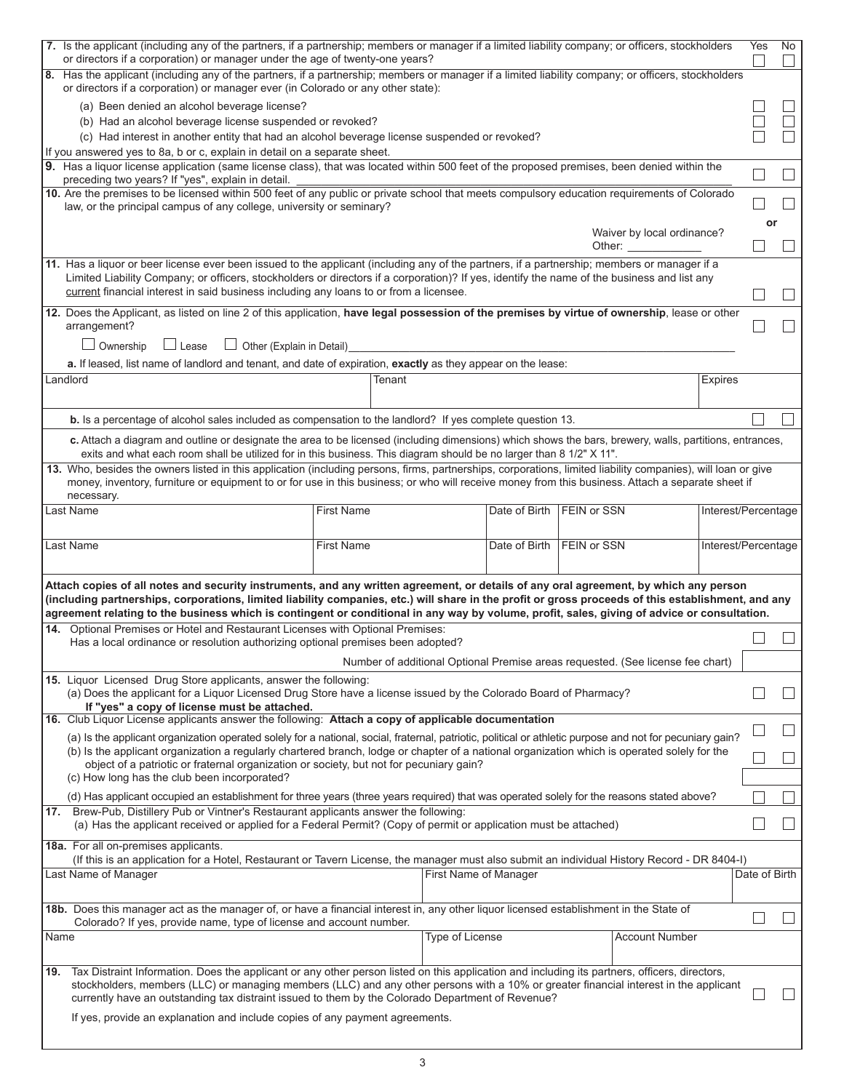| 7. Is the applicant (including any of the partners, if a partnership; members or manager if a limited liability company; or officers, stockholders<br>or directors if a corporation) or manager under the age of twenty-one years?                                                                                                                                                                                                                                                 |                   |                                                                                |                                     |                    |                                                      |                     | Yes           | No. |
|------------------------------------------------------------------------------------------------------------------------------------------------------------------------------------------------------------------------------------------------------------------------------------------------------------------------------------------------------------------------------------------------------------------------------------------------------------------------------------|-------------------|--------------------------------------------------------------------------------|-------------------------------------|--------------------|------------------------------------------------------|---------------------|---------------|-----|
| 8. Has the applicant (including any of the partners, if a partnership; members or manager if a limited liability company; or officers, stockholders<br>or directors if a corporation) or manager ever (in Colorado or any other state):                                                                                                                                                                                                                                            |                   |                                                                                |                                     |                    |                                                      |                     |               |     |
| (a) Been denied an alcohol beverage license?                                                                                                                                                                                                                                                                                                                                                                                                                                       |                   |                                                                                |                                     |                    |                                                      |                     |               |     |
| (b) Had an alcohol beverage license suspended or revoked?                                                                                                                                                                                                                                                                                                                                                                                                                          |                   |                                                                                |                                     |                    |                                                      |                     |               |     |
| (c) Had interest in another entity that had an alcohol beverage license suspended or revoked?                                                                                                                                                                                                                                                                                                                                                                                      |                   |                                                                                |                                     |                    |                                                      |                     |               |     |
| If you answered yes to 8a, b or c, explain in detail on a separate sheet.<br>9. Has a liquor license application (same license class), that was located within 500 feet of the proposed premises, been denied within the                                                                                                                                                                                                                                                           |                   |                                                                                |                                     |                    |                                                      |                     |               |     |
| preceding two years? If "yes", explain in detail.<br>10. Are the premises to be licensed within 500 feet of any public or private school that meets compulsory education requirements of Colorado                                                                                                                                                                                                                                                                                  |                   |                                                                                |                                     |                    |                                                      |                     |               |     |
| law, or the principal campus of any college, university or seminary?                                                                                                                                                                                                                                                                                                                                                                                                               |                   |                                                                                |                                     |                    |                                                      |                     |               |     |
|                                                                                                                                                                                                                                                                                                                                                                                                                                                                                    |                   |                                                                                |                                     |                    | Waiver by local ordinance?<br>Other: $\qquad \qquad$ |                     | or            |     |
| 11. Has a liquor or beer license ever been issued to the applicant (including any of the partners, if a partnership; members or manager if a<br>Limited Liability Company; or officers, stockholders or directors if a corporation)? If yes, identify the name of the business and list any<br>current financial interest in said business including any loans to or from a licensee.                                                                                              |                   |                                                                                |                                     |                    |                                                      |                     |               |     |
| 12. Does the Applicant, as listed on line 2 of this application, have legal possession of the premises by virtue of ownership, lease or other<br>arrangement?                                                                                                                                                                                                                                                                                                                      |                   |                                                                                |                                     |                    |                                                      |                     |               |     |
| $\Box$ Ownership<br>$\Box$ Lease<br>$\Box$ Other (Explain in Detail)                                                                                                                                                                                                                                                                                                                                                                                                               |                   |                                                                                |                                     |                    |                                                      |                     |               |     |
| a. If leased, list name of landlord and tenant, and date of expiration, exactly as they appear on the lease:                                                                                                                                                                                                                                                                                                                                                                       |                   |                                                                                |                                     |                    |                                                      |                     |               |     |
| Landlord                                                                                                                                                                                                                                                                                                                                                                                                                                                                           |                   | Tenant                                                                         |                                     |                    |                                                      | <b>Expires</b>      |               |     |
| b. Is a percentage of alcohol sales included as compensation to the landlord? If yes complete question 13.                                                                                                                                                                                                                                                                                                                                                                         |                   |                                                                                |                                     |                    |                                                      |                     |               |     |
| c. Attach a diagram and outline or designate the area to be licensed (including dimensions) which shows the bars, brewery, walls, partitions, entrances,<br>exits and what each room shall be utilized for in this business. This diagram should be no larger than 8 1/2" X 11".                                                                                                                                                                                                   |                   |                                                                                |                                     |                    |                                                      |                     |               |     |
| 13. Who, besides the owners listed in this application (including persons, firms, partnerships, corporations, limited liability companies), will loan or give<br>money, inventory, furniture or equipment to or for use in this business; or who will receive money from this business. Attach a separate sheet if<br>necessary.                                                                                                                                                   |                   |                                                                                |                                     |                    |                                                      |                     |               |     |
| Last Name                                                                                                                                                                                                                                                                                                                                                                                                                                                                          | <b>First Name</b> |                                                                                | <b>FEIN or SSN</b><br>Date of Birth |                    | Interest/Percentage                                  |                     |               |     |
| Last Name                                                                                                                                                                                                                                                                                                                                                                                                                                                                          | <b>First Name</b> |                                                                                | Date of Birth                       | <b>FEIN or SSN</b> |                                                      | Interest/Percentage |               |     |
| Attach copies of all notes and security instruments, and any written agreement, or details of any oral agreement, by which any person<br>(including partnerships, corporations, limited liability companies, etc.) will share in the profit or gross proceeds of this establishment, and any<br>agreement relating to the business which is contingent or conditional in any way by volume, profit, sales, giving of advice or consultation.                                       |                   |                                                                                |                                     |                    |                                                      |                     |               |     |
| 14. Optional Premises or Hotel and Restaurant Licenses with Optional Premises:<br>Has a local ordinance or resolution authorizing optional premises been adopted?                                                                                                                                                                                                                                                                                                                  |                   |                                                                                |                                     |                    |                                                      |                     |               |     |
|                                                                                                                                                                                                                                                                                                                                                                                                                                                                                    |                   | Number of additional Optional Premise areas requested. (See license fee chart) |                                     |                    |                                                      |                     |               |     |
| 15. Liquor Licensed Drug Store applicants, answer the following:<br>(a) Does the applicant for a Liquor Licensed Drug Store have a license issued by the Colorado Board of Pharmacy?<br>If "yes" a copy of license must be attached.                                                                                                                                                                                                                                               |                   |                                                                                |                                     |                    |                                                      |                     |               |     |
| 16. Club Liquor License applicants answer the following: Attach a copy of applicable documentation                                                                                                                                                                                                                                                                                                                                                                                 |                   |                                                                                |                                     |                    |                                                      |                     |               |     |
| (a) Is the applicant organization operated solely for a national, social, fraternal, patriotic, political or athletic purpose and not for pecuniary gain?<br>(b) Is the applicant organization a regularly chartered branch, lodge or chapter of a national organization which is operated solely for the                                                                                                                                                                          |                   |                                                                                |                                     |                    |                                                      |                     |               |     |
| object of a patriotic or fraternal organization or society, but not for pecuniary gain?<br>(c) How long has the club been incorporated?                                                                                                                                                                                                                                                                                                                                            |                   |                                                                                |                                     |                    |                                                      |                     |               |     |
| (d) Has applicant occupied an establishment for three years (three years required) that was operated solely for the reasons stated above?                                                                                                                                                                                                                                                                                                                                          |                   |                                                                                |                                     |                    |                                                      |                     |               |     |
| 17. Brew-Pub, Distillery Pub or Vintner's Restaurant applicants answer the following:<br>(a) Has the applicant received or applied for a Federal Permit? (Copy of permit or application must be attached)                                                                                                                                                                                                                                                                          |                   |                                                                                |                                     |                    |                                                      |                     |               |     |
| 18a. For all on-premises applicants.<br>(If this is an application for a Hotel, Restaurant or Tavern License, the manager must also submit an individual History Record - DR 8404-I)                                                                                                                                                                                                                                                                                               |                   |                                                                                |                                     |                    |                                                      |                     |               |     |
| Last Name of Manager                                                                                                                                                                                                                                                                                                                                                                                                                                                               |                   | First Name of Manager                                                          |                                     |                    |                                                      |                     | Date of Birth |     |
| 18b. Does this manager act as the manager of, or have a financial interest in, any other liquor licensed establishment in the State of                                                                                                                                                                                                                                                                                                                                             |                   |                                                                                |                                     |                    |                                                      |                     |               |     |
| Colorado? If yes, provide name, type of license and account number.<br>Name                                                                                                                                                                                                                                                                                                                                                                                                        |                   | <b>Type of License</b>                                                         |                                     |                    | <b>Account Number</b>                                |                     |               |     |
|                                                                                                                                                                                                                                                                                                                                                                                                                                                                                    |                   |                                                                                |                                     |                    |                                                      |                     |               |     |
| Tax Distraint Information. Does the applicant or any other person listed on this application and including its partners, officers, directors,<br>19.<br>stockholders, members (LLC) or managing members (LLC) and any other persons with a 10% or greater financial interest in the applicant<br>currently have an outstanding tax distraint issued to them by the Colorado Department of Revenue?<br>If yes, provide an explanation and include copies of any payment agreements. |                   |                                                                                |                                     |                    |                                                      |                     |               |     |
|                                                                                                                                                                                                                                                                                                                                                                                                                                                                                    |                   |                                                                                |                                     |                    |                                                      |                     |               |     |